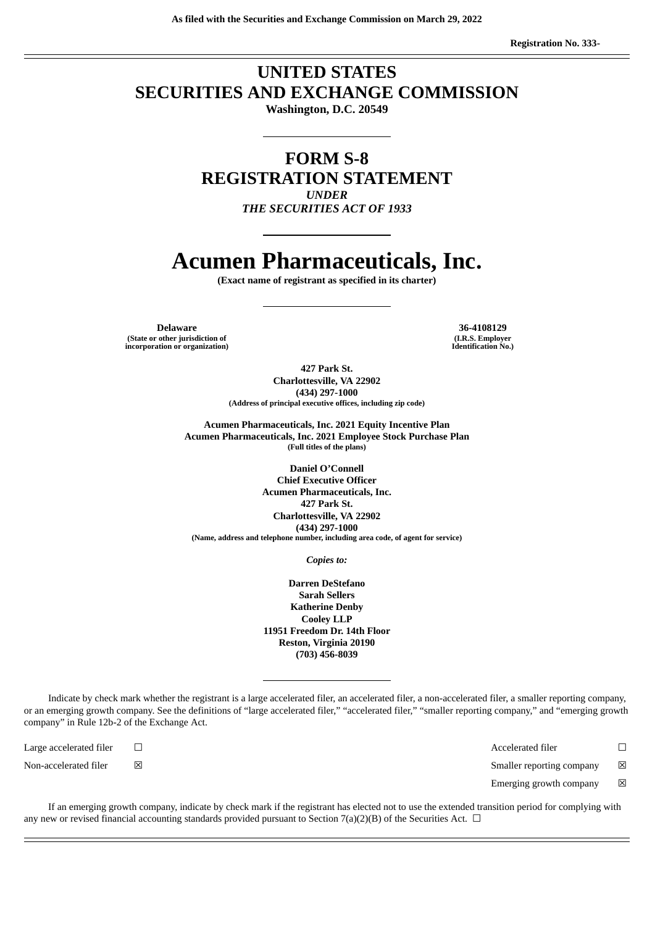### **UNITED STATES SECURITIES AND EXCHANGE COMMISSION**

**Washington, D.C. 20549**

**FORM S-8 REGISTRATION STATEMENT** *UNDER*

*THE SECURITIES ACT OF 1933*

## **Acumen Pharmaceuticals, Inc.**

**(Exact name of registrant as specified in its charter)**

**Delaware 36-4108129 (State or other jurisdiction of incorporation or organization)**

**(I.R.S. Employer Identification No.)**

**427 Park St. Charlottesville, VA 22902 (434) 297-1000 (Address of principal executive offices, including zip code)**

**Acumen Pharmaceuticals, Inc. 2021 Equity Incentive Plan Acumen Pharmaceuticals, Inc. 2021 Employee Stock Purchase Plan (Full titles of the plans)**

**Daniel O'Connell Chief Executive Officer Acumen Pharmaceuticals, Inc. 427 Park St. Charlottesville, VA 22902 (434) 297-1000 (Name, address and telephone number, including area code, of agent for service)**

*Copies to:*

**Darren DeStefano Sarah Sellers Katherine Denby Cooley LLP 11951 Freedom Dr. 14th Floor Reston, Virginia 20190 (703) 456-8039**

Indicate by check mark whether the registrant is a large accelerated filer, an accelerated filer, a non-accelerated filer, a smaller reporting company, or an emerging growth company. See the definitions of "large accelerated filer," "accelerated filer," "smaller reporting company," and "emerging growth company" in Rule 12b-2 of the Exchange Act.

Large accelerated filer ☐ Accelerated filer ☐ Non-accelerated filer Ⅰ⊠ Emerging growth company  $\boxtimes$ 

If an emerging growth company, indicate by check mark if the registrant has elected not to use the extended transition period for complying with any new or revised financial accounting standards provided pursuant to Section 7(a)(2)(B) of the Securities Act.  $\Box$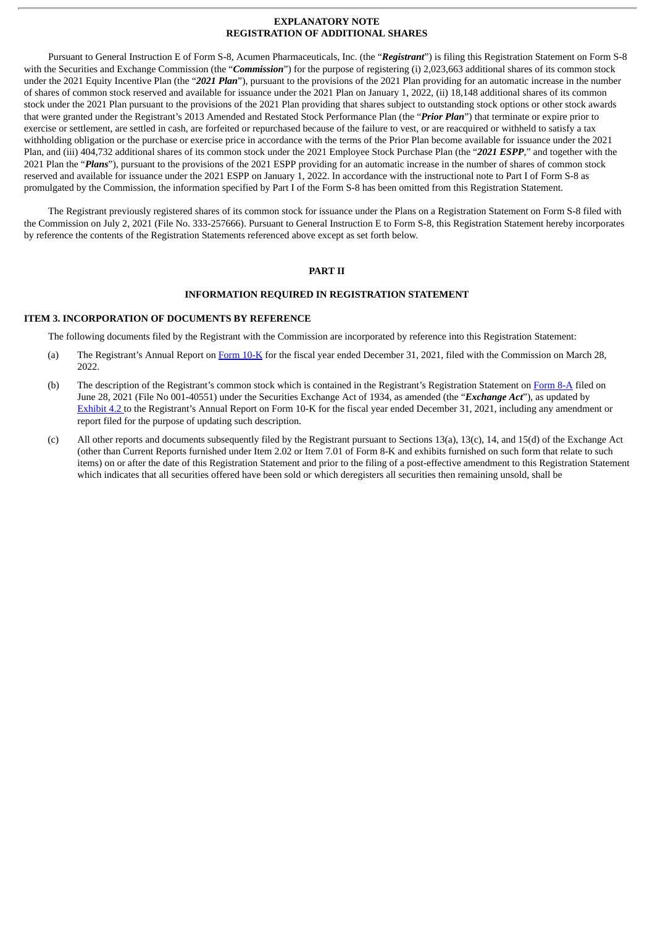#### **EXPLANATORY NOTE REGISTRATION OF ADDITIONAL SHARES**

Pursuant to General Instruction E of Form S-8, Acumen Pharmaceuticals, Inc. (the "*Registrant*") is filing this Registration Statement on Form S-8 with the Securities and Exchange Commission (the "*Commission*") for the purpose of registering (i) 2,023,663 additional shares of its common stock under the 2021 Equity Incentive Plan (the "*2021 Plan*"), pursuant to the provisions of the 2021 Plan providing for an automatic increase in the number of shares of common stock reserved and available for issuance under the 2021 Plan on January 1, 2022, (ii) 18,148 additional shares of its common stock under the 2021 Plan pursuant to the provisions of the 2021 Plan providing that shares subject to outstanding stock options or other stock awards that were granted under the Registrant's 2013 Amended and Restated Stock Performance Plan (the "*Prior Plan*") that terminate or expire prior to exercise or settlement, are settled in cash, are forfeited or repurchased because of the failure to vest, or are reacquired or withheld to satisfy a tax withholding obligation or the purchase or exercise price in accordance with the terms of the Prior Plan become available for issuance under the 2021 Plan, and (iii) 404,732 additional shares of its common stock under the 2021 Employee Stock Purchase Plan (the "*2021 ESPP*," and together with the 2021 Plan the "*Plans*"), pursuant to the provisions of the 2021 ESPP providing for an automatic increase in the number of shares of common stock reserved and available for issuance under the 2021 ESPP on January 1, 2022. In accordance with the instructional note to Part I of Form S-8 as promulgated by the Commission, the information specified by Part I of the Form S-8 has been omitted from this Registration Statement.

The Registrant previously registered shares of its common stock for issuance under the Plans on a Registration Statement on Form S-8 filed with the Commission on July 2, 2021 (File No. 333-257666). Pursuant to General Instruction E to Form S-8, this Registration Statement hereby incorporates by reference the contents of the Registration Statements referenced above except as set forth below.

#### **PART II**

#### **INFORMATION REQUIRED IN REGISTRATION STATEMENT**

#### **ITEM 3. INCORPORATION OF DOCUMENTS BY REFERENCE**

The following documents filed by the Registrant with the Commission are incorporated by reference into this Registration Statement:

- (a) The Registrant's Annual Report on [Form](http://www.sec.gov/ix?doc=/Archives/edgar/data/1576885/000119312522086775/d298784d10k.htm) 10-K for the fiscal year ended December 31, 2021, filed with the Commission on March 28, 2022.
- (b) The description of the Registrant's common stock which is contained in the Registrant's Registration Statement on [Form](http://www.sec.gov/Archives/edgar/data/1576885/000119312521201591/d148789d8a12b.htm) 8-A filed on June 28, 2021 (File No 001-40551) under the Securities Exchange Act of 1934, as amended (the "*Exchange Act*"), as updated by [Exhibit](http://www.sec.gov/Archives/edgar/data/1576885/000119312522086775/d298784dex42.htm) 4.2 to the Registrant's Annual Report on Form 10-K for the fiscal year ended December 31, 2021, including any amendment or report filed for the purpose of updating such description.
- (c) All other reports and documents subsequently filed by the Registrant pursuant to Sections 13(a), 13(c), 14, and 15(d) of the Exchange Act (other than Current Reports furnished under Item 2.02 or Item 7.01 of Form 8-K and exhibits furnished on such form that relate to such items) on or after the date of this Registration Statement and prior to the filing of a post-effective amendment to this Registration Statement which indicates that all securities offered have been sold or which deregisters all securities then remaining unsold, shall be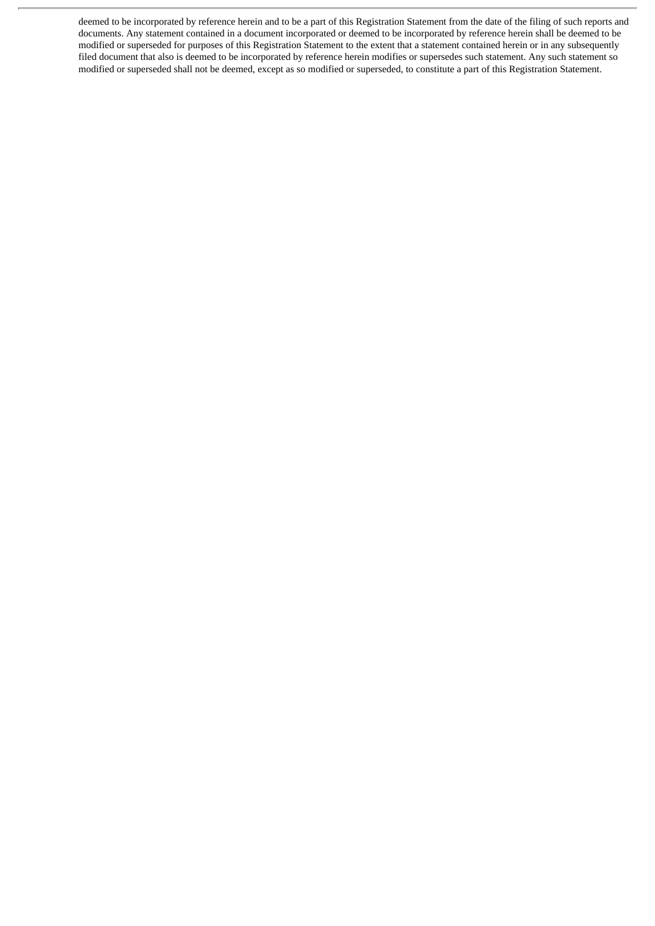deemed to be incorporated by reference herein and to be a part of this Registration Statement from the date of the filing of such reports and documents. Any statement contained in a document incorporated or deemed to be incorporated by reference herein shall be deemed to be modified or superseded for purposes of this Registration Statement to the extent that a statement contained herein or in any subsequently filed document that also is deemed to be incorporated by reference herein modifies or supersedes such statement. Any such statement so modified or superseded shall not be deemed, except as so modified or superseded, to constitute a part of this Registration Statement.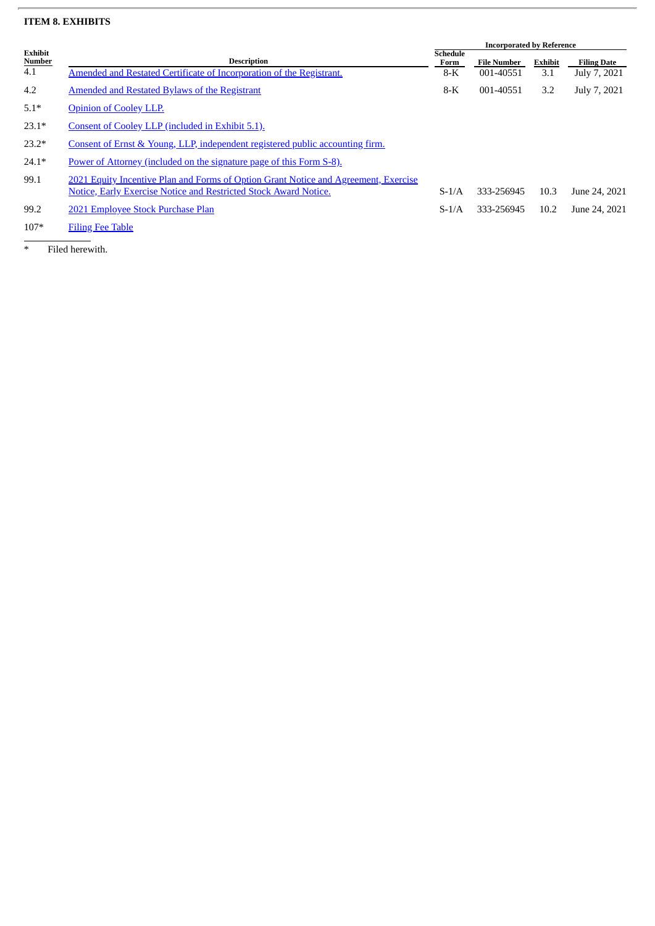#### **ITEM 8. EXHIBITS**

|                          |                                                                                     | <b>Incorporated by Reference</b> |                    |         |                    |  |
|--------------------------|-------------------------------------------------------------------------------------|----------------------------------|--------------------|---------|--------------------|--|
| Exhibit<br><b>Number</b> | <b>Description</b>                                                                  | <b>Schedule</b><br>Form          | <b>File Number</b> | Exhibit | <b>Filing Date</b> |  |
| 4.1                      | Amended and Restated Certificate of Incorporation of the Registrant.                | $8-K$                            | 001-40551          | 3.1     | July 7, 2021       |  |
| 4.2                      | <b>Amended and Restated Bylaws of the Registrant</b>                                | $8-K$                            | 001-40551          | 3.2     | July 7, 2021       |  |
| $5.1*$                   | <b>Opinion of Cooley LLP.</b>                                                       |                                  |                    |         |                    |  |
| $23.1*$                  | Consent of Cooley LLP (included in Exhibit 5.1).                                    |                                  |                    |         |                    |  |
| $23.2*$                  | Consent of Ernst & Young, LLP, independent registered public accounting firm.       |                                  |                    |         |                    |  |
| $24.1*$                  | Power of Attorney (included on the signature page of this Form S-8).                |                                  |                    |         |                    |  |
| 99.1                     | 2021 Equity Incentive Plan and Forms of Option Grant Notice and Agreement, Exercise |                                  |                    |         |                    |  |
|                          | <b>Notice, Early Exercise Notice and Restricted Stock Award Notice.</b>             | $S-1/A$                          | 333-256945         | 10.3    | June 24, 2021      |  |
| 99.2                     | 2021 Employee Stock Purchase Plan                                                   | $S-1/A$                          | 333-256945         | 10.2    | June 24, 2021      |  |
| $107*$                   | <b>Filing Fee Table</b>                                                             |                                  |                    |         |                    |  |

\* Filed herewith.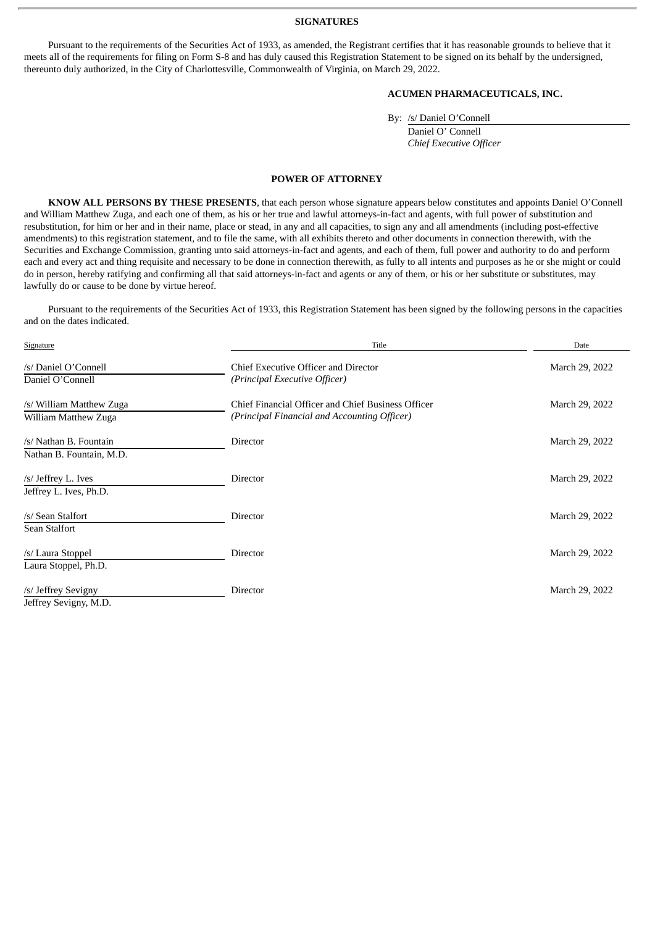#### **SIGNATURES**

<span id="page-4-0"></span>Pursuant to the requirements of the Securities Act of 1933, as amended, the Registrant certifies that it has reasonable grounds to believe that it meets all of the requirements for filing on Form S-8 and has duly caused this Registration Statement to be signed on its behalf by the undersigned, thereunto duly authorized, in the City of Charlottesville, Commonwealth of Virginia, on March 29, 2022.

#### **ACUMEN PHARMACEUTICALS, INC.**

By: /s/ Daniel O'Connell

Daniel O' Connell *Chief Executive Officer*

#### **POWER OF ATTORNEY**

**KNOW ALL PERSONS BY THESE PRESENTS**, that each person whose signature appears below constitutes and appoints Daniel O'Connell and William Matthew Zuga, and each one of them, as his or her true and lawful attorneys-in-fact and agents, with full power of substitution and resubstitution, for him or her and in their name, place or stead, in any and all capacities, to sign any and all amendments (including post-effective amendments) to this registration statement, and to file the same, with all exhibits thereto and other documents in connection therewith, with the Securities and Exchange Commission, granting unto said attorneys-in-fact and agents, and each of them, full power and authority to do and perform each and every act and thing requisite and necessary to be done in connection therewith, as fully to all intents and purposes as he or she might or could do in person, hereby ratifying and confirming all that said attorneys-in-fact and agents or any of them, or his or her substitute or substitutes, may lawfully do or cause to be done by virtue hereof.

Pursuant to the requirements of the Securities Act of 1933, this Registration Statement has been signed by the following persons in the capacities and on the dates indicated.

| Signature                                | Title                                                                 | Date           |
|------------------------------------------|-----------------------------------------------------------------------|----------------|
| /s/ Daniel O'Connell<br>Daniel O'Connell | Chief Executive Officer and Director<br>(Principal Executive Officer) | March 29, 2022 |
|                                          |                                                                       |                |
| /s/ William Matthew Zuga                 | Chief Financial Officer and Chief Business Officer                    | March 29, 2022 |
| William Matthew Zuga                     | (Principal Financial and Accounting Officer)                          |                |
| /s/ Nathan B. Fountain                   | <b>Director</b>                                                       | March 29, 2022 |
| Nathan B. Fountain, M.D.                 |                                                                       |                |
| /s/ Jeffrey L. Ives                      | Director                                                              | March 29, 2022 |
| Jeffrey L. Ives, Ph.D.                   |                                                                       |                |
| /s/ Sean Stalfort                        | Director                                                              | March 29, 2022 |
| Sean Stalfort                            |                                                                       |                |
| /s/ Laura Stoppel                        | <b>Director</b>                                                       | March 29, 2022 |
| Laura Stoppel, Ph.D.                     |                                                                       |                |
| /s/ Jeffrey Sevigny                      | Director                                                              | March 29, 2022 |
| Jeffrey Sevigny, M.D.                    |                                                                       |                |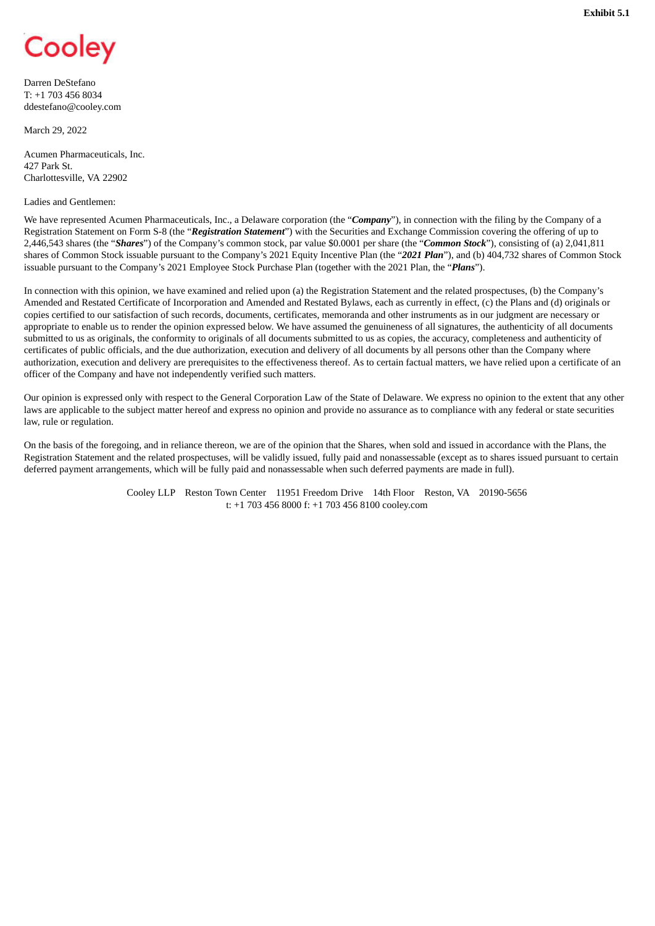## <span id="page-5-0"></span>Cooley

Darren DeStefano T: +1 703 456 8034 ddestefano@cooley.com

March 29, 2022

Acumen Pharmaceuticals, Inc. 427 Park St. Charlottesville, VA 22902

Ladies and Gentlemen:

We have represented Acumen Pharmaceuticals, Inc., a Delaware corporation (the "*Company*"), in connection with the filing by the Company of a Registration Statement on Form S-8 (the "*Registration Statement*") with the Securities and Exchange Commission covering the offering of up to 2,446,543 shares (the "*Shares*") of the Company's common stock, par value \$0.0001 per share (the "*Common Stock*"), consisting of (a) 2,041,811 shares of Common Stock issuable pursuant to the Company's 2021 Equity Incentive Plan (the "*2021 Plan*"), and (b) 404,732 shares of Common Stock issuable pursuant to the Company's 2021 Employee Stock Purchase Plan (together with the 2021 Plan, the "*Plans*").

In connection with this opinion, we have examined and relied upon (a) the Registration Statement and the related prospectuses, (b) the Company's Amended and Restated Certificate of Incorporation and Amended and Restated Bylaws, each as currently in effect, (c) the Plans and (d) originals or copies certified to our satisfaction of such records, documents, certificates, memoranda and other instruments as in our judgment are necessary or appropriate to enable us to render the opinion expressed below. We have assumed the genuineness of all signatures, the authenticity of all documents submitted to us as originals, the conformity to originals of all documents submitted to us as copies, the accuracy, completeness and authenticity of certificates of public officials, and the due authorization, execution and delivery of all documents by all persons other than the Company where authorization, execution and delivery are prerequisites to the effectiveness thereof. As to certain factual matters, we have relied upon a certificate of an officer of the Company and have not independently verified such matters.

Our opinion is expressed only with respect to the General Corporation Law of the State of Delaware. We express no opinion to the extent that any other laws are applicable to the subject matter hereof and express no opinion and provide no assurance as to compliance with any federal or state securities law, rule or regulation.

On the basis of the foregoing, and in reliance thereon, we are of the opinion that the Shares, when sold and issued in accordance with the Plans, the Registration Statement and the related prospectuses, will be validly issued, fully paid and nonassessable (except as to shares issued pursuant to certain deferred payment arrangements, which will be fully paid and nonassessable when such deferred payments are made in full).

> Cooley LLP Reston Town Center 11951 Freedom Drive 14th Floor Reston, VA 20190-5656 t: +1 703 456 8000 f: +1 703 456 8100 cooley.com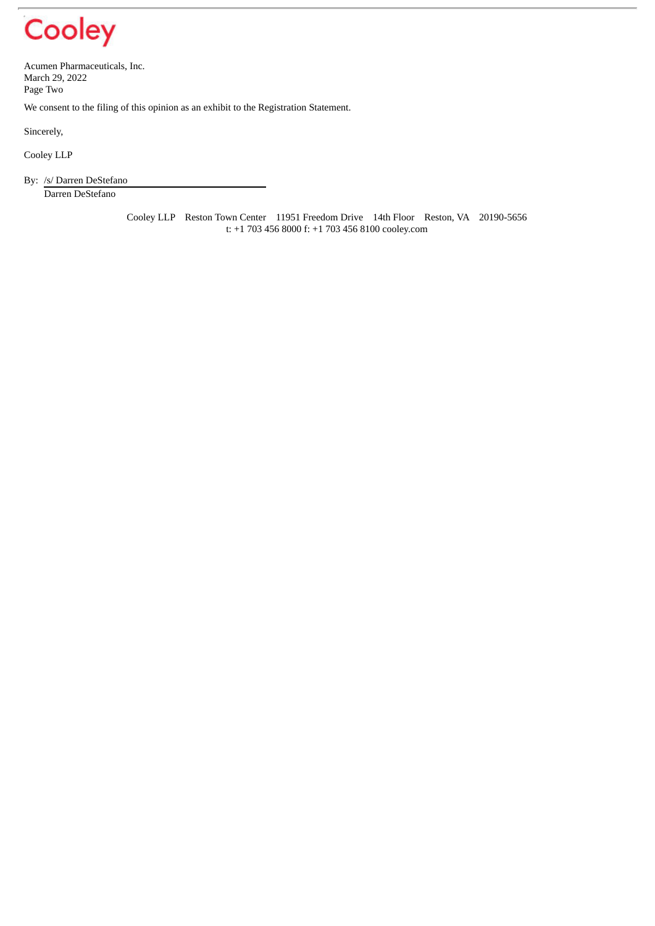# Cooley

Acumen Pharmaceuticals, Inc. March 29, 2022 Page Two

We consent to the filing of this opinion as an exhibit to the Registration Statement.

Sincerely,

Cooley LLP

By: /s/ Darren DeStefano

Darren DeStefano

Cooley LLP Reston Town Center 11951 Freedom Drive 14th Floor Reston, VA 20190-5656 t: +1 703 456 8000 f: +1 703 456 8100 cooley.com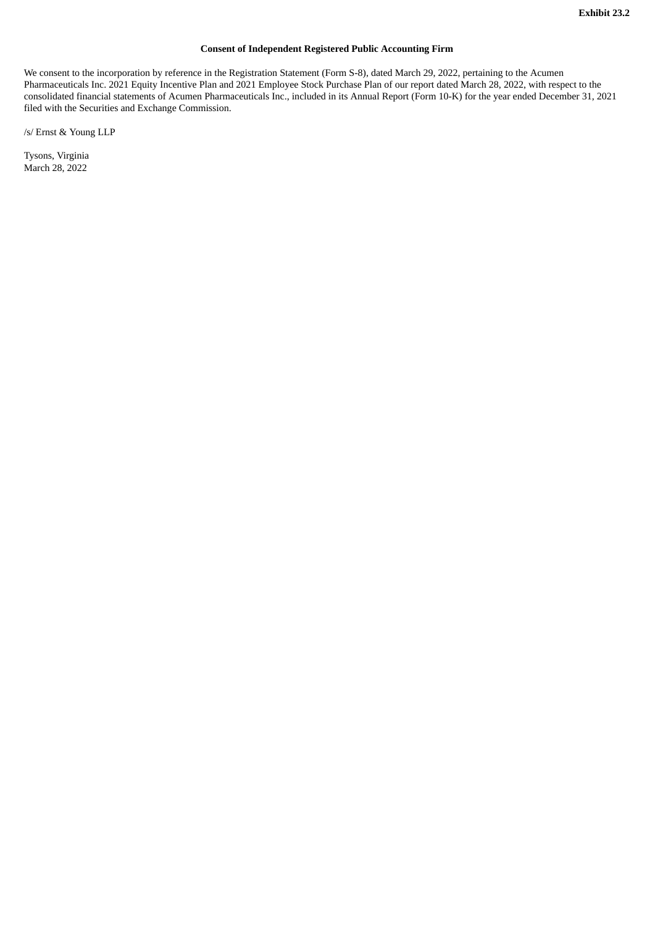#### **Consent of Independent Registered Public Accounting Firm**

<span id="page-7-0"></span>We consent to the incorporation by reference in the Registration Statement (Form S-8), dated March 29, 2022, pertaining to the Acumen Pharmaceuticals Inc. 2021 Equity Incentive Plan and 2021 Employee Stock Purchase Plan of our report dated March 28, 2022, with respect to the consolidated financial statements of Acumen Pharmaceuticals Inc., included in its Annual Report (Form 10-K) for the year ended December 31, 2021 filed with the Securities and Exchange Commission.

/s/ Ernst & Young LLP

Tysons, Virginia March 28, 2022